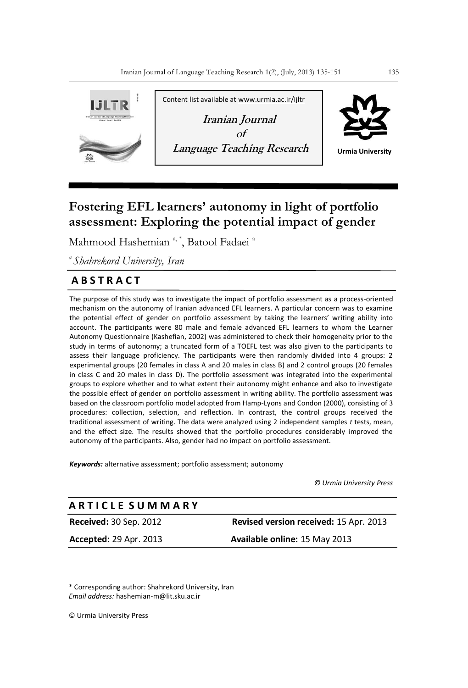

# **Fostering EFL learners' autonomy in light of portfolio assessment: Exploring the potential impact of gender**

Mahmood Hashemian<sup>a,\*</sup>, Batool Fadaei<sup>a</sup>

*<sup>a</sup>Shahrekord University, Iran*

# **A B S T R A C T**

The purpose of this study was to investigate the impact of portfolio assessment as a process-oriented mechanism on the autonomy of Iranian advanced EFL learners. A particular concern was to examine the potential effect of gender on portfolio assessment by taking the learners' writing ability into account. The participants were 80 male and female advanced EFL learners to whom the Learner Autonomy Questionnaire (Kashefian, 2002) was administered to check their homogeneity prior to the study in terms of autonomy; a truncated form of a TOEFL test was also given to the participants to assess their language proficiency. The participants were then randomly divided into 4 groups: 2 experimental groups (20 females in class A and 20 males in class B) and 2 control groups (20 females in class C and 20 males in class D). The portfolio assessment was integrated into the experimental groups to explore whether and to what extent their autonomy might enhance and also to investigate the possible effect of gender on portfolio assessment in writing ability. The portfolio assessment was based on the classroom portfolio model adopted from Hamp-Lyons and Condon (2000), consisting of 3 procedures: collection, selection, and reflection. In contrast, the control groups received the traditional assessment of writing. The data were analyzed using 2 independent samples *t* tests, mean, and the effect size. The results showed that the portfolio procedures considerably improved the autonomy of the participants. Also, gender had no impact on portfolio assessment.

*Keywords:* alternative assessment; portfolio assessment; autonomy

*© Urmia University Press*

## **A R T I C L E S U M M A R Y**

**Received:** 30 Sep. 2012 **Revised version received:** 15 Apr. 2013

**Accepted:** 29 Apr. 2013 **Available online:** 15 May 2013

\* Corresponding author: Shahrekord University, Iran *Email address:* hashemian-m@lit.sku.ac.ir

© Urmia University Press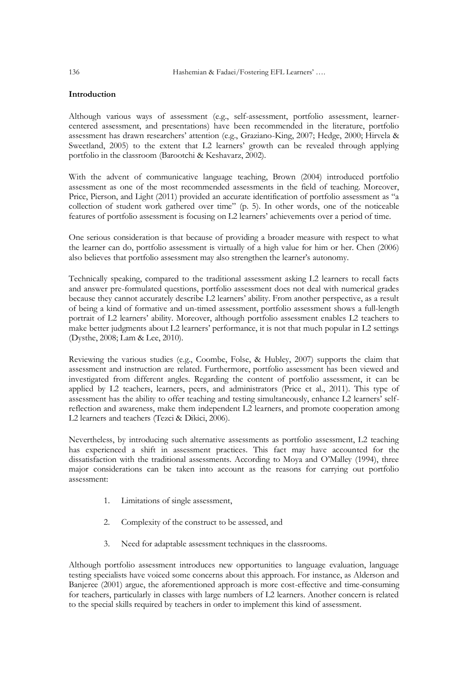#### **Introduction**

Although various ways of assessment (e.g., self-assessment, portfolio assessment, learnercentered assessment, and presentations) have been recommended in the literature, portfolio assessment has drawn researchers' attention (e.g., Graziano-King, 2007; Hedge, 2000; Hirvela & Sweetland, 2005) to the extent that L2 learners' growth can be revealed through applying portfolio in the classroom (Barootchi & Keshavarz, 2002).

With the advent of communicative language teaching, Brown (2004) introduced portfolio assessment as one of the most recommended assessments in the field of teaching. Moreover, Price, Pierson, and Light (2011) provided an accurate identification of portfolio assessment as "a collection of student work gathered over time" (p. 5). In other words, one of the noticeable features of portfolio assessment is focusing on L2 learners' achievements over a period of time.

One serious consideration is that because of providing a broader measure with respect to what the learner can do, portfolio assessment is virtually of a high value for him or her. Chen (2006) also believes that portfolio assessment may also strengthen the learner's autonomy.

Technically speaking, compared to the traditional assessment asking L2 learners to recall facts and answer pre-formulated questions, portfolio assessment does not deal with numerical grades because they cannot accurately describe L2 learners' ability. From another perspective, as a result of being a kind of formative and un-timed assessment, portfolio assessment shows a full-length portrait of L2 learners' ability. Moreover, although portfolio assessment enables L2 teachers to make better judgments about L2 learners' performance, it is not that much popular in L2 settings (Dysthe, 2008; Lam & Lee, 2010).

Reviewing the various studies (e.g., Coombe, Folse, & Hubley, 2007) supports the claim that assessment and instruction are related. Furthermore, portfolio assessment has been viewed and investigated from different angles. Regarding the content of portfolio assessment, it can be applied by L2 teachers, learners, peers, and administrators (Price et al., 2011). This type of assessment has the ability to offer teaching and testing simultaneously, enhance L2 learners' selfreflection and awareness, make them independent L2 learners, and promote cooperation among L2 learners and teachers (Tezci & Dikici, 2006).

Nevertheless, by introducing such alternative assessments as portfolio assessment, L2 teaching has experienced a shift in assessment practices. This fact may have accounted for the dissatisfaction with the traditional assessments. According to Moya and O'Malley (1994), three major considerations can be taken into account as the reasons for carrying out portfolio assessment:

- 1. Limitations of single assessment,
- 2. Complexity of the construct to be assessed, and
- 3. Need for adaptable assessment techniques in the classrooms.

Although portfolio assessment introduces new opportunities to language evaluation, language testing specialists have voiced some concerns about this approach. For instance, as Alderson and Banjeree (2001) argue, the aforementioned approach is more cost-effective and time-consuming for teachers, particularly in classes with large numbers of L2 learners. Another concern is related to the special skills required by teachers in order to implement this kind of assessment.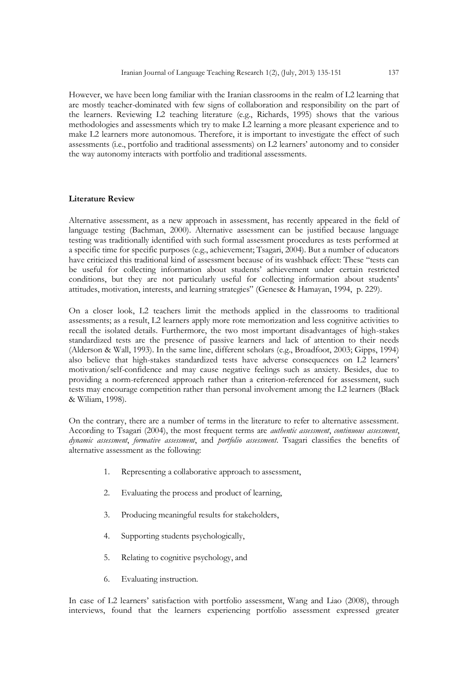However, we have been long familiar with the Iranian classrooms in the realm of L2 learning that are mostly teacher-dominated with few signs of collaboration and responsibility on the part of the learners. Reviewing L2 teaching literature (e.g., Richards, 1995) shows that the various methodologies and assessments which try to make L2 learning a more pleasant experience and to make L2 learners more autonomous. Therefore, it is important to investigate the effect of such assessments (i.e., portfolio and traditional assessments) on L2 learners' autonomy and to consider the way autonomy interacts with portfolio and traditional assessments.

#### **Literature Review**

Alternative assessment, as a new approach in assessment, has recently appeared in the field of language testing (Bachman, 2000). Alternative assessment can be justified because language testing was traditionally identified with such formal assessment procedures as tests performed at a specific time for specific purposes (e.g., achievement; Tsagari, 2004). But a number of educators have criticized this traditional kind of assessment because of its washback effect: These "tests can be useful for collecting information about students' achievement under certain restricted conditions, but they are not particularly useful for collecting information about students' attitudes, motivation, interests, and learning strategies" (Genesee & Hamayan, 1994, p. 229).

On a closer look, L2 teachers limit the methods applied in the classrooms to traditional assessments; as a result, L2 learners apply more rote memorization and less cognitive activities to recall the isolated details. Furthermore, the two most important disadvantages of high-stakes standardized tests are the presence of passive learners and lack of attention to their needs (Alderson & Wall, 1993). In the same line, different scholars (e.g., Broadfoot, 2003; Gipps, 1994) also believe that high-stakes standardized tests have adverse consequences on L2 learners' motivation/self-confidence and may cause negative feelings such as anxiety. Besides, due to providing a norm-referenced approach rather than a criterion-referenced for assessment, such tests may encourage competition rather than personal involvement among the L2 learners (Black & Wiliam, 1998).

On the contrary, there are a number of terms in the literature to refer to alternative assessment. According to Tsagari (2004), the most frequent terms are *authentic assessment*, *continuous assessment*, *dynamic assessment*, *formative assessment*, and *portfolio assessment*. Tsagari classifies the benefits of alternative assessment as the following:

- 1. Representing a collaborative approach to assessment,
- 2. Evaluating the process and product of learning,
- 3. Producing meaningful results for stakeholders,
- 4. Supporting students psychologically,
- 5. Relating to cognitive psychology, and
- 6. Evaluating instruction.

In case of L2 learners' satisfaction with portfolio assessment, Wang and Liao (2008), through interviews, found that the learners experiencing portfolio assessment expressed greater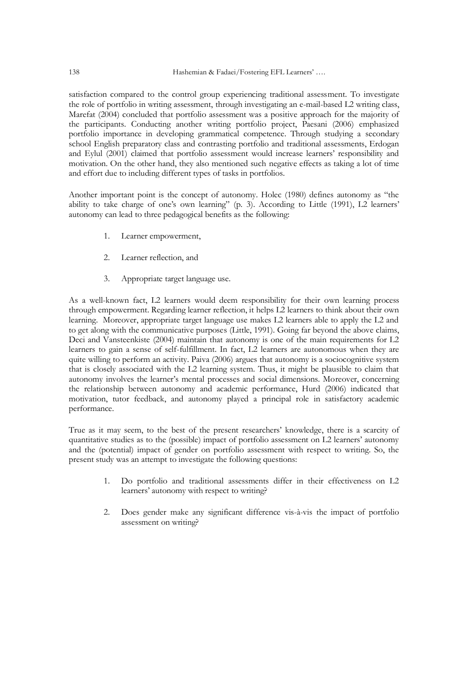satisfaction compared to the control group experiencing traditional assessment. To investigate the role of portfolio in writing assessment, through investigating an e-mail-based L2 writing class, Marefat (2004) concluded that portfolio assessment was a positive approach for the majority of the participants. Conducting another writing portfolio project, Paesani (2006) emphasized portfolio importance in developing grammatical competence. Through studying a secondary school English preparatory class and contrasting portfolio and traditional assessments, Erdogan and Eylul (2001) claimed that portfolio assessment would increase learners' responsibility and motivation. On the other hand, they also mentioned such negative effects as taking a lot of time and effort due to including different types of tasks in portfolios.

Another important point is the concept of autonomy. Holec (1980) defines autonomy as "the ability to take charge of one's own learning" (p. 3). According to Little (1991), L2 learners' autonomy can lead to three pedagogical benefits as the following:

- 1. Learner empowerment,
- 2. Learner reflection, and
- 3. Appropriate target language use.

As a well-known fact, L2 learners would deem responsibility for their own learning process through empowerment. Regarding learner reflection, it helps L2 learners to think about their own learning. Moreover, appropriate target language use makes L2 learners able to apply the L2 and to get along with the communicative purposes (Little, 1991). Going far beyond the above claims, Deci and Vansteenkiste (2004) maintain that autonomy is one of the main requirements for L2 learners to gain a sense of self-fulfillment. In fact, L2 learners are autonomous when they are quite willing to perform an activity. Paiva (2006) argues that autonomy is a sociocognitive system that is closely associated with the L2 learning system. Thus, it might be plausible to claim that autonomy involves the learner's mental processes and social dimensions. Moreover, concerning the relationship between autonomy and academic performance, Hurd (2006) indicated that motivation, tutor feedback, and autonomy played a principal role in satisfactory academic performance.

True as it may seem, to the best of the present researchers' knowledge, there is a scarcity of quantitative studies as to the (possible) impact of portfolio assessment on L2 learners' autonomy and the (potential) impact of gender on portfolio assessment with respect to writing. So, the present study was an attempt to investigate the following questions:

- 1. Do portfolio and traditional assessments differ in their effectiveness on L2 learners' autonomy with respect to writing?
- 2. Does gender make any significant difference vis-à-vis the impact of portfolio assessment on writing?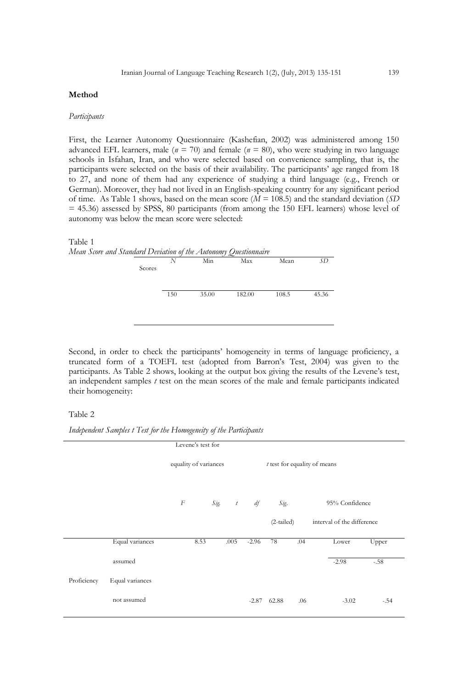#### **Method**

#### *Participants*

First, the Learner Autonomy Questionnaire (Kashefian, 2002) was administered among 150 advanced EFL learners, male ( $n = 70$ ) and female ( $n = 80$ ), who were studying in two language schools in Isfahan, Iran, and who were selected based on convenience sampling, that is, the participants were selected on the basis of their availability. The participants' age ranged from 18 to 27, and none of them had any experience of studying a third language (e.g., French or German). Moreover, they had not lived in an English-speaking country for any significant period of time. As Table 1 shows, based on the mean score (*M* = 108.5) and the standard deviation (*SD* = 45.36) assessed by SPSS, 80 participants (from among the 150 EFL learners) whose level of autonomy was below the mean score were selected:



Second, in order to check the participants' homogeneity in terms of language proficiency, a truncated form of a TOEFL test (adopted from Barron's Test, 2004) was given to the participants. As Table 2 shows, looking at the output box giving the results of the Levene's test, an independent samples *t* test on the mean scores of the male and female participants indicated their homogeneity:

#### Table 2

*Independent Samples t Test for the Homogeneity of the Participants*

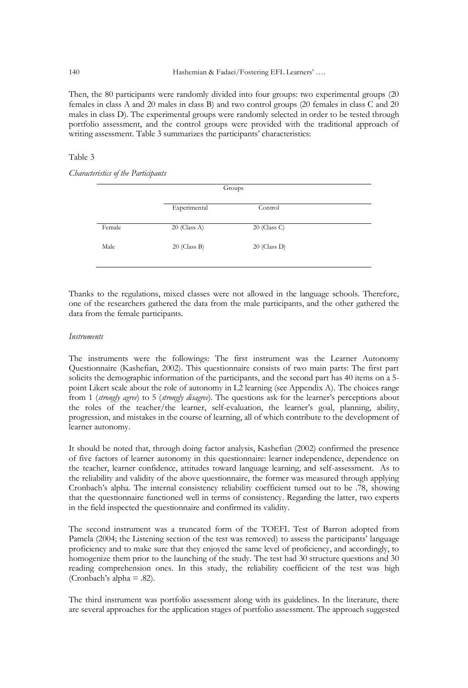Then, the 80 participants were randomly divided into four groups: two experimental groups (20 females in class A and 20 males in class B) and two control groups (20 females in class C and 20 males in class D). The experimental groups were randomly selected in order to be tested through portfolio assessment, and the control groups were provided with the traditional approach of writing assessment. Table 3 summarizes the participants' characteristics:

#### Table 3

*Characteristics of the Participants*

|        |                | Groups         |  |
|--------|----------------|----------------|--|
|        | Experimental   | Control        |  |
| Female | $20$ (Class A) | $20$ (Class C) |  |
| Male   | $20$ (Class B) | $20$ (Class D) |  |
|        |                |                |  |

Thanks to the regulations, mixed classes were not allowed in the language schools. Therefore, one of the researchers gathered the data from the male participants, and the other gathered the data from the female participants.

#### *Instruments*

The instruments were the followings: The first instrument was the Learner Autonomy Questionnaire (Kashefian, 2002). This questionnaire consists of two main parts: The first part solicits the demographic information of the participants, and the second part has 40 items on a 5 point Likert scale about the role of autonomy in L2 learning (see Appendix A). The choices range from 1 (*strongly agree*) to 5 (*strongly disagree*). The questions ask for the learner's perceptions about the roles of the teacher/the learner, self-evaluation, the learner's goal, planning, ability, progression, and mistakes in the course of learning, all of which contribute to the development of learner autonomy.

It should be noted that, through doing factor analysis, Kashefian (2002) confirmed the presence of five factors of learner autonomy in this questionnaire: learner independence, dependence on the teacher, learner confidence, attitudes toward language learning, and self-assessment. As to the reliability and validity of the above questionnaire, the former was measured through applying Cronbach's alpha. The internal consistency reliability coefficient turned out to be .78, showing that the questionnaire functioned well in terms of consistency. Regarding the latter, two experts in the field inspected the questionnaire and confirmed its validity.

The second instrument was a truncated form of the TOEFL Test of Barron adopted from Pamela (2004; the Listening section of the test was removed) to assess the participants' language proficiency and to make sure that they enjoyed the same level of proficiency, and accordingly, to homogenize them prior to the launching of the study. The test had 30 structure questions and 30 reading comprehension ones. In this study, the reliability coefficient of the test was high (Cronbach's alpha  $= .82$ ).

The third instrument was portfolio assessment along with its guidelines. In the literature, there are several approaches for the application stages of portfolio assessment. The approach suggested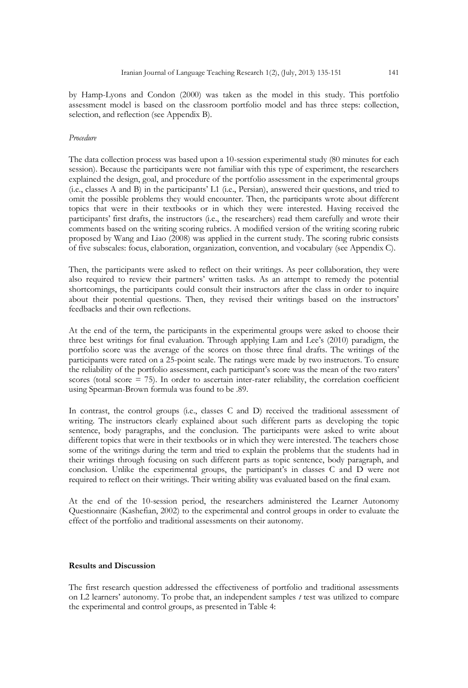by Hamp-Lyons and Condon (2000) was taken as the model in this study. This portfolio assessment model is based on the classroom portfolio model and has three steps: collection, selection, and reflection (see Appendix B).

#### *Procedure*

The data collection process was based upon a 10-session experimental study (80 minutes for each session). Because the participants were not familiar with this type of experiment, the researchers explained the design, goal, and procedure of the portfolio assessment in the experimental groups (i.e., classes A and B) in the participants' L1 (i.e., Persian), answered their questions, and tried to omit the possible problems they would encounter. Then, the participants wrote about different topics that were in their textbooks or in which they were interested. Having received the participants' first drafts, the instructors (i.e., the researchers) read them carefully and wrote their comments based on the writing scoring rubrics. A modified version of the writing scoring rubric proposed by Wang and Liao (2008) was applied in the current study. The scoring rubric consists of five subscales: focus, elaboration, organization, convention, and vocabulary (see Appendix C).

Then, the participants were asked to reflect on their writings. As peer collaboration, they were also required to review their partners' written tasks. As an attempt to remedy the potential shortcomings, the participants could consult their instructors after the class in order to inquire about their potential questions. Then, they revised their writings based on the instructors' feedbacks and their own reflections.

At the end of the term, the participants in the experimental groups were asked to choose their three best writings for final evaluation. Through applying Lam and Lee's (2010) paradigm, the portfolio score was the average of the scores on those three final drafts. The writings of the participants were rated on a 25-point scale. The ratings were made by two instructors. To ensure the reliability of the portfolio assessment, each participant's score was the mean of the two raters' scores (total score  $= 75$ ). In order to ascertain inter-rater reliability, the correlation coefficient using Spearman-Brown formula was found to be .89.

In contrast, the control groups (i.e., classes C and D) received the traditional assessment of writing. The instructors clearly explained about such different parts as developing the topic sentence, body paragraphs, and the conclusion. The participants were asked to write about different topics that were in their textbooks or in which they were interested. The teachers chose some of the writings during the term and tried to explain the problems that the students had in their writings through focusing on such different parts as topic sentence, body paragraph, and conclusion. Unlike the experimental groups, the participant's in classes C and D were not required to reflect on their writings. Their writing ability was evaluated based on the final exam.

At the end of the 10-session period, the researchers administered the Learner Autonomy Questionnaire (Kashefian, 2002) to the experimental and control groups in order to evaluate the effect of the portfolio and traditional assessments on their autonomy.

#### **Results and Discussion**

The first research question addressed the effectiveness of portfolio and traditional assessments on L2 learners' autonomy. To probe that, an independent samples *t* test was utilized to compare the experimental and control groups, as presented in Table 4: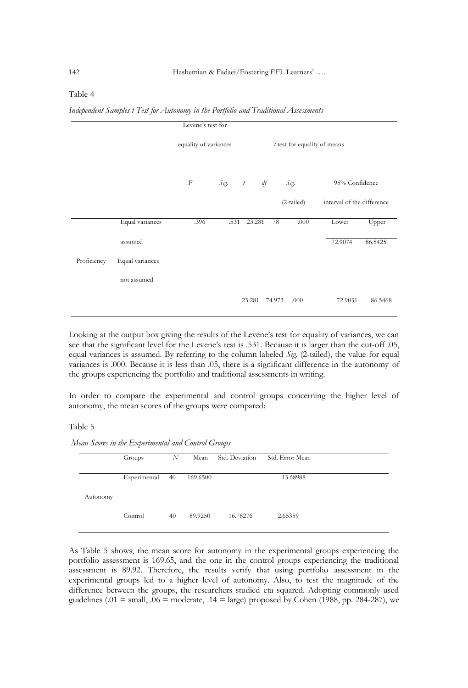#### Table 4

*Independent Samples t Test for Autonomy in the Portfolio and Traditional Assessments*

| Levene's test for |                 |                       |      |                  |    |                              |                            |         |
|-------------------|-----------------|-----------------------|------|------------------|----|------------------------------|----------------------------|---------|
|                   |                 | equality of variances |      |                  |    | t test for equality of means |                            |         |
|                   |                 | $\boldsymbol{F}$      | Sig. | $\boldsymbol{t}$ | df | Sig.                         | 95% Confidence             |         |
|                   |                 |                       |      |                  |    | (2-tailed)                   | interval of the difference |         |
|                   | Equal variances | .396                  | .531 | 23.281           | 78 | .000                         | Lower                      | Upper   |
|                   | assumed         |                       |      |                  |    |                              | 72.9074                    | 86.5425 |
| Proficiency       | Equal variances |                       |      |                  |    |                              |                            |         |
|                   | not assumed     |                       |      |                  |    |                              |                            |         |
|                   |                 |                       |      | 23.281 74.973    |    | .000                         | 72.9031                    | 86.5468 |

Looking at the output box giving the results of the Levene's test for equality of variances, we can see that the significant level for the Levene's test is .531. Because it is larger than the cut-off .05, equal variances is assumed. By referring to the column labeled *Sig*. (2-tailed), the value for equal variances is .000. Because it is less than .05, there is a significant difference in the autonomy of the groups experiencing the portfolio and traditional assessments in writing.

In order to compare the experimental and control groups concerning the higher level of autonomy, the mean scores of the groups were compared:

#### Table 5

*Mean Scores in the Experimental and Control Groups*

|          | Groups       | N  | Mean     | Std. Deviation | Std. Error Mean |  |
|----------|--------------|----|----------|----------------|-----------------|--|
|          | Experimental | 40 | 169.6500 |                | 13.68988        |  |
| Autonomy |              |    |          |                |                 |  |
|          | Control      | 40 | 89.9250  | 16.78276       | 2.65359         |  |

As Table 5 shows, the mean score for autonomy in the experimental groups experiencing the portfolio assessment is 169.65, and the one in the control groups experiencing the traditional assessment is 89.92. Therefore, the results verify that using portfolio assessment in the experimental groups led to a higher level of autonomy. Also, to test the magnitude of the difference between the groups, the researchers studied eta squared. Adopting commonly used guidelines (.01 = small, .06 = moderate, .14 = large) proposed by Cohen (1988, pp. 284-287), we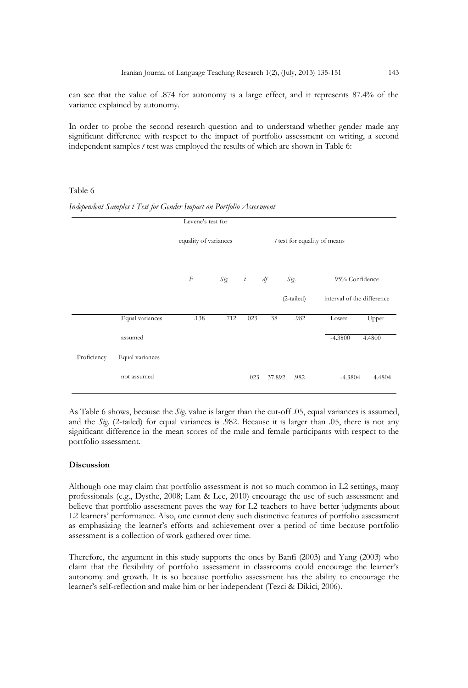can see that the value of .874 for autonomy is a large effect, and it represents 87.4% of the variance explained by autonomy.

In order to probe the second research question and to understand whether gender made any significant difference with respect to the impact of portfolio assessment on writing, a second independent samples *t* test was employed the results of which are shown in Table 6:

#### Table 6

| Levene's test for |                 |                       |      |                  |        |                                |                            |
|-------------------|-----------------|-----------------------|------|------------------|--------|--------------------------------|----------------------------|
|                   |                 | equality of variances |      |                  |        | $t$ test for equality of means |                            |
|                   |                 | $\boldsymbol{F}$      | Sig. | $\boldsymbol{t}$ | df     | Sig.                           | 95% Confidence             |
|                   |                 |                       |      |                  |        | (2-tailed)                     | interval of the difference |
|                   | Equal variances | .138                  | .712 | .023             | 38     | .982                           | Lower<br>Upper             |
|                   | assumed         |                       |      |                  |        |                                | $-4.3800$<br>4.4800        |
| Proficiency       | Equal variances |                       |      |                  |        |                                |                            |
|                   | not assumed     |                       |      | .023             | 37.892 | .982                           | $-4.3804$<br>4.4804        |

*Independent Samples t Test for Gender Impact on Portfolio Assessment*

As Table 6 shows, because the *Sig*. value is larger than the cut-off .05, equal variances is assumed, and the *Sig*. (2-tailed) for equal variances is .982. Because it is larger than .05, there is not any significant difference in the mean scores of the male and female participants with respect to the portfolio assessment.

#### **Discussion**

Although one may claim that portfolio assessment is not so much common in L2 settings, many professionals (e.g., Dysthe, 2008; Lam & Lee, 2010) encourage the use of such assessment and believe that portfolio assessment paves the way for L2 teachers to have better judgments about L2 learners' performance. Also, one cannot deny such distinctive features of portfolio assessment as emphasizing the learner's efforts and achievement over a period of time because portfolio assessment is a collection of work gathered over time.

Therefore, the argument in this study supports the ones by Banfi (2003) and Yang (2003) who claim that the flexibility of portfolio assessment in classrooms could encourage the learner's autonomy and growth. It is so because portfolio assessment has the ability to encourage the learner's self-reflection and make him or her independent (Tezci & Dikici, 2006).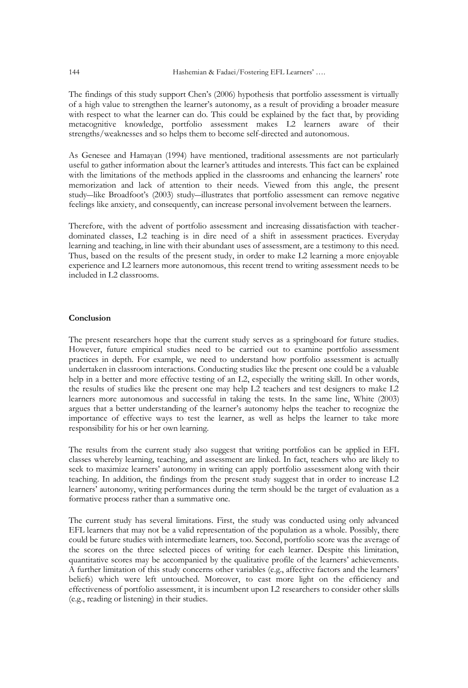The findings of this study support Chen's (2006) hypothesis that portfolio assessment is virtually of a high value to strengthen the learner's autonomy, as a result of providing a broader measure with respect to what the learner can do. This could be explained by the fact that, by providing metacognitive knowledge, portfolio assessment makes L2 learners aware of their strengths/weaknesses and so helps them to become self-directed and autonomous.

As Genesee and Hamayan (1994) have mentioned, traditional assessments are not particularly useful to gather information about the learner's attitudes and interests. This fact can be explained with the limitations of the methods applied in the classrooms and enhancing the learners' rote memorization and lack of attention to their needs. Viewed from this angle, the present study―like Broadfoot's (2003) study―illustrates that portfolio assessment can remove negative feelings like anxiety, and consequently, can increase personal involvement between the learners.

Therefore, with the advent of portfolio assessment and increasing dissatisfaction with teacherdominated classes, L2 teaching is in dire need of a shift in assessment practices. Everyday learning and teaching, in line with their abundant uses of assessment, are a testimony to this need. Thus, based on the results of the present study, in order to make L2 learning a more enjoyable experience and L2 learners more autonomous, this recent trend to writing assessment needs to be included in L2 classrooms.

#### **Conclusion**

The present researchers hope that the current study serves as a springboard for future studies. However, future empirical studies need to be carried out to examine portfolio assessment practices in depth. For example, we need to understand how portfolio assessment is actually undertaken in classroom interactions. Conducting studies like the present one could be a valuable help in a better and more effective testing of an L2, especially the writing skill. In other words, the results of studies like the present one may help L2 teachers and test designers to make L2 learners more autonomous and successful in taking the tests. In the same line, White (2003) argues that a better understanding of the learner's autonomy helps the teacher to recognize the importance of effective ways to test the learner, as well as helps the learner to take more responsibility for his or her own learning.

The results from the current study also suggest that writing portfolios can be applied in EFL classes whereby learning, teaching, and assessment are linked. In fact, teachers who are likely to seek to maximize learners' autonomy in writing can apply portfolio assessment along with their teaching. In addition, the findings from the present study suggest that in order to increase L2 learners' autonomy, writing performances during the term should be the target of evaluation as a formative process rather than a summative one.

The current study has several limitations. First, the study was conducted using only advanced EFL learners that may not be a valid representation of the population as a whole. Possibly, there could be future studies with intermediate learners, too. Second, portfolio score was the average of the scores on the three selected pieces of writing for each learner. Despite this limitation, quantitative scores may be accompanied by the qualitative profile of the learners' achievements. A further limitation of this study concerns other variables (e.g., affective factors and the learners' beliefs) which were left untouched. Moreover, to cast more light on the efficiency and effectiveness of portfolio assessment, it is incumbent upon L2 researchers to consider other skills (e.g., reading or listening) in their studies.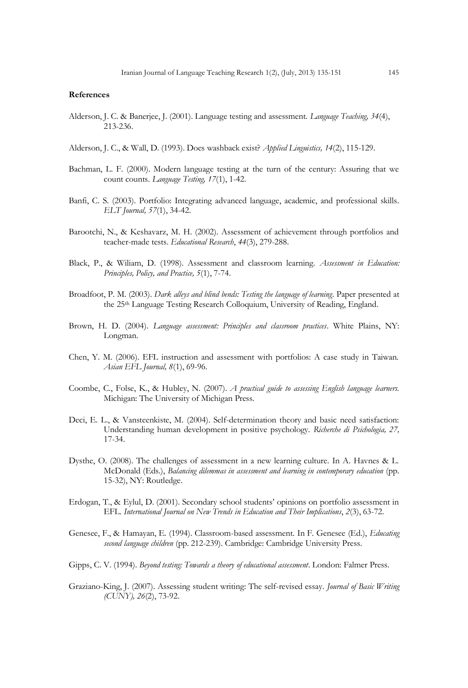#### **References**

Alderson, J. C. & Banerjee, J. (2001). Language testing and assessment. *Language Teaching, 34*(4), 213-236.

Alderson, J. C., & Wall, D. (1993). Does washback exist? *Applied Linguistics, 14*(2), 115-129.

- Bachman, L. F. (2000). Modern language testing at the turn of the century: Assuring that we count counts. *Language Testing, 17*(1), 1-42.
- Banfi, C. S. (2003). Portfolio: Integrating advanced language, academic, and professional skills. *ELT Journal, 57*(1), 34-42.
- Barootchi, N., & Keshavarz, M. H. (2002). Assessment of achievement through portfolios and teacher-made tests. *Educational Research*, *44*(3), 279-288.
- Black, P., & Wiliam, D. (1998). Assessment and classroom learning. *Assessment in Education: Principles, Policy, and Practice, 5*(1), 7-74.
- Broadfoot, P. M. (2003). *Dark alleys and blind bends: Testing the language of learning*. Paper presented at the 25th Language Testing Research Colloquium, University of Reading, England.
- Brown, H. D. (2004). *Language assessment: Principles and classroom practices*. White Plains, NY: Longman.
- Chen, Y. M. (2006). EFL instruction and assessment with portfolios: A case study in Taiwan. *Asian EFL Journal, 8*(1), 69-96.
- Coombe, C., Folse, K., & Hubley, N. (2007). *A practical guide to assessing English language learners.*  Michigan: The University of Michigan Press.
- Deci, E. L., & Vansteenkiste, M. (2004). Self-determination theory and basic need satisfaction: Understanding human development in positive psychology. *Richerche di Psichologia, 27,*  17-34.
- Dysthe, O. (2008). The challenges of assessment in a new learning culture. In A. Havnes & L. McDonald (Eds.), *Balancing dilemmas in assessment and learning in contemporary education* (pp. 15-32), NY: Routledge.
- Erdogan, T., & Eylul, D. (2001). Secondary school students' opinions on portfolio assessment in EFL. *International Journal on New Trends in Education and Their Implications*, *2*(3), 63-72.
- Genesee, F., & Hamayan, E. (1994). Classroom-based assessment. In F. Genesee (Ed.), *Educating second language children* (pp. 212-239). Cambridge: Cambridge University Press.
- Gipps, C. V. (1994). *Beyond testing: Towards a theory of educational assessment*. London: Falmer Press.
- Graziano-King, J. (2007). Assessing student writing: The self-revised essay. *Journal of Basic Writing (CUNY), 26*(2), 73-92.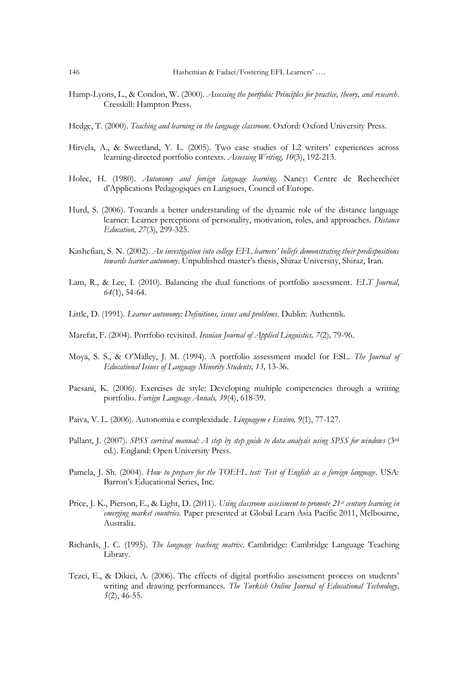- Hamp-Lyons, L., & Condon, W. (2000). *Assessing the portfolio: Principles for practice, theory, and research*. Cresskill: Hampton Press.
- Hedge, T. (2000). *Teaching and learning in the language classroom*. Oxford: Oxford University Press.
- Hirvela, A., & Sweetland, Y. L. (2005). Two case studies of L2 writers' experiences across learning-directed portfolio contexts. *Assessing Writing, 10*(3), 192-213.
- Holec, H. (1980). *Autonomy and foreign language learning*. Nancy: Centre de Recherchéet d'Applications Pedagogiques en Langsues, Council of Europe.
- Hurd, S. (2006). Towards a better understanding of the dynamic role of the distance language learner: Learner perceptions of personality, motivation, roles, and approaches. *Distance Education, 27*(3), 299-325.
- Kashefian, S. N. (2002). *An investigation into college EFL learners' beliefs demonstrating their predispositions towards learner autonomy*. Unpublished master's thesis, Shiraz University, Shiraz, Iran.
- Lam, R., & Lee, I. (2010). Balancing the dual functions of portfolio assessment. *ELT Journal, 64*(1), 54-64.
- Little, D. (1991). *Learner autonomy: Definitions, issues and problems*. Dublin: Authentik.
- Marefat, F. (2004). Portfolio revisited. *Iranian Journal of Applied Linguistics, 7*(2)*,* 79-96.
- Moya, S. S., & O'Malley, J. M. (1994). A portfolio assessment model for ESL. *The Journal of Educational Issues of Language Minority Students, 13,* 13-36.
- Paesani, K. (2006). Exercises de style: Developing multiple competencies through a writing portfolio. *Foreign Language Annals, 39*(4), 618-39.
- Paiva, V. L. (2006). Autonomia e complexidade. *Linguagem e Ensino, 9*(1), 77-127.
- Pallant, J. (2007). *SPSS survival manual: A step by step guide to data analysis using SPSS for windows* (3<sup>rd</sup> ed.). England: Open University Press.
- Pamela, J. Sh. (2004). *How to prepare for the TOEFL test: Test of English as a foreign language*. USA: Barron's Educational Series, Inc.
- Price, J. K., Pierson, E., & Light, D. (2011). *Using classroom assessment to promote 21st century learning in emerging market countries.* Paper presented at Global Learn Asia Pacific 2011, Melbourne, Australia.
- Richards, J. C. (1995). *The language teaching matrix*. Cambridge: Cambridge Language Teaching Library.
- Tezci, E., & Dikici, A. (2006). The effects of digital portfolio assessment process on students' writing and drawing performances. *The Turkish Online Journal of Educational Technology, 5*(2), 46-55.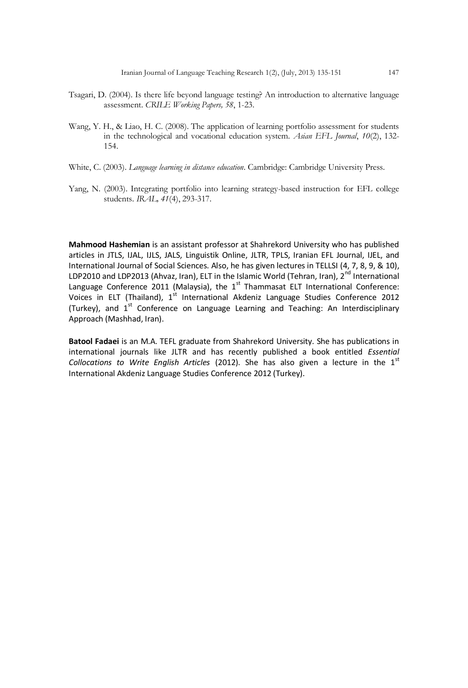- Tsagari, D. (2004). Is there life beyond language testing? An introduction to alternative language assessment. *CRILE Working Papers, 58*, 1-23.
- Wang, Y. H., & Liao, H. C. (2008). The application of learning portfolio assessment for students in the technological and vocational education system. *Asian EFL Journal*, *10*(2), 132- 154.
- White, C. (2003). *Language learning in distance education*. Cambridge: Cambridge University Press.
- Yang, N. (2003). Integrating portfolio into learning strategy-based instruction for EFL college students. *IRAL, 41*(4), 293-317.

**Mahmood Hashemian** is an assistant professor at Shahrekord University who has published articles in JTLS, IJAL, IJLS, JALS, Linguistik Online, JLTR, TPLS, Iranian EFL Journal, IJEL, and International Journal of Social Sciences. Also, he has given lectures in TELLSI (4, 7, 8, 9, & 10), LDP2010 and LDP2013 (Ahvaz, Iran), ELT in the Islamic World (Tehran, Iran), 2<sup>nd</sup> International Language Conference 2011 (Malaysia), the  $1<sup>st</sup>$  Thammasat ELT International Conference: Voices in ELT (Thailand), 1<sup>st</sup> International Akdeniz Language Studies Conference 2012 (Turkey), and 1<sup>st</sup> Conference on Language Learning and Teaching: An Interdisciplinary Approach (Mashhad, Iran).

**Batool Fadaei** is an M.A. TEFL graduate from Shahrekord University. She has publications in international journals like JLTR and has recently published a book entitled *Essential Collocations to Write English Articles* (2012). She has also given a lecture in the 1<sup>st</sup> International Akdeniz Language Studies Conference 2012 (Turkey).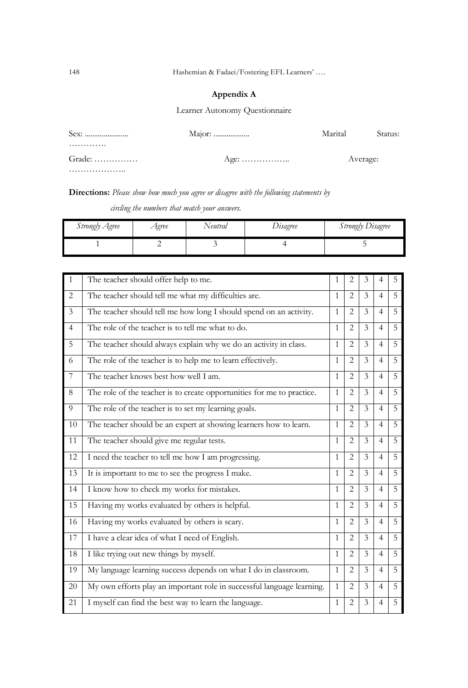## **Appendix A**

Learner Autonomy Questionnaire

| Sex:                                 | Marital | Status:  |
|--------------------------------------|---------|----------|
| .                                    |         |          |
| $Grade: \ldots \ldots \ldots \ldots$ |         | Average: |
| .                                    |         |          |

**Directions:** *Please show how much you agree or disagree with the following statements by* 

 *circling the numbers that match your answers.*

| Strongly Agree | <i>Agree</i> | Neutral | Itsagree | <b>Strongly Disagree</b> |
|----------------|--------------|---------|----------|--------------------------|
|                |              |         |          |                          |

| $\mathbf{1}$   | The teacher should offer help to me.                                   | 1            | 2              | 3             | 4              | 5 |
|----------------|------------------------------------------------------------------------|--------------|----------------|---------------|----------------|---|
| $\overline{2}$ | The teacher should tell me what my difficulties are.                   | $\mathbf{1}$ | $\overline{2}$ | $\mathcal{F}$ | $\overline{4}$ | 5 |
| 3              | The teacher should tell me how long I should spend on an activity.     | $\mathbf{1}$ | $\overline{c}$ | $\mathcal{E}$ | $\overline{4}$ | 5 |
| $\overline{4}$ | The role of the teacher is to tell me what to do.                      | $\mathbf{1}$ | $\overline{c}$ | 3             | $\overline{4}$ | 5 |
| 5              | The teacher should always explain why we do an activity in class.      | $\mathbf{1}$ | $\overline{2}$ | 3             | $\overline{4}$ | 5 |
| 6              | The role of the teacher is to help me to learn effectively.            | $\mathbf{1}$ | $\overline{2}$ | $\mathcal{E}$ | $\overline{4}$ | 5 |
| 7              | The teacher knows best how well I am.                                  | $\mathbf{1}$ | $\overline{2}$ | 3             | $\overline{4}$ | 5 |
| 8              | The role of the teacher is to create opportunities for me to practice. | $\mathbf{1}$ | $\overline{2}$ | 3             | $\overline{4}$ | 5 |
| 9              | The role of the teacher is to set my learning goals.                   | $\mathbf{1}$ | $\overline{2}$ | 3             | $\overline{4}$ | 5 |
| 10             | The teacher should be an expert at showing learners how to learn.      | $\mathbf{1}$ | $\overline{2}$ | 3             | $\overline{4}$ | 5 |
| 11             | The teacher should give me regular tests.                              | $\mathbf{1}$ | $\overline{2}$ | 3             | 4              | 5 |
| 12             | I need the teacher to tell me how I am progressing.                    | $\mathbf{1}$ | $\overline{2}$ | 3             | $\overline{4}$ | 5 |
| 13             | It is important to me to see the progress I make.                      | $\mathbf{1}$ | $\overline{2}$ | 3             | $\overline{4}$ | 5 |
| 14             | I know how to check my works for mistakes.                             | $\mathbf{1}$ | $\overline{2}$ | 3             | $\overline{4}$ | 5 |
| 15             | Having my works evaluated by others is helpful.                        | $\mathbf{1}$ | $\overline{2}$ | 3             | $\overline{4}$ | 5 |
| 16             | Having my works evaluated by others is scary.                          | $\mathbf{1}$ | $\overline{2}$ | 3             | $\overline{4}$ | 5 |
| 17             | I have a clear idea of what I need of English.                         | $\mathbf{1}$ | $\overline{2}$ | 3             | $\overline{4}$ | 5 |
| 18             | I like trying out new things by myself.                                | $\mathbf{1}$ | $\overline{2}$ | 3             | $\overline{4}$ | 5 |
| 19             | My language learning success depends on what I do in classroom.        | $\mathbf{1}$ | $\overline{2}$ | 3             | $\overline{4}$ | 5 |
| 20             | My own efforts play an important role in successful language learning. | $\mathbf{1}$ | $\overline{2}$ | 3             | $\overline{4}$ | 5 |
| 21             | I myself can find the best way to learn the language.                  | $\mathbf{1}$ | $\overline{2}$ | 3             | 4              | 5 |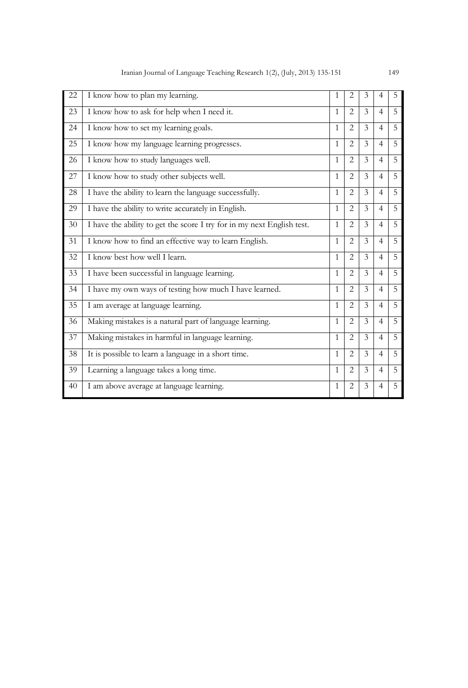| 22 | I know how to plan my learning.                                        | 1            | $\overline{2}$ | 3                       | $\overline{4}$ | 5 |
|----|------------------------------------------------------------------------|--------------|----------------|-------------------------|----------------|---|
| 23 | I know how to ask for help when I need it.                             | 1            | 2              | $\mathcal{E}$           | $\overline{4}$ | 5 |
| 24 | I know how to set my learning goals.                                   | 1            | $\overline{2}$ | 3                       | $\overline{4}$ | 5 |
| 25 | I know how my language learning progresses.                            | 1            | 2              | 3                       | $\overline{4}$ | 5 |
| 26 | I know how to study languages well.                                    | 1            | $\overline{c}$ | 3                       | $\overline{4}$ | 5 |
| 27 | I know how to study other subjects well.                               | 1            | $\overline{c}$ | 3                       | $\overline{4}$ | 5 |
| 28 | I have the ability to learn the language successfully.                 | 1            | 2              | $\mathcal{E}$           | $\overline{4}$ | 5 |
| 29 | I have the ability to write accurately in English.                     | 1            | 2              | 3                       | $\overline{4}$ | 5 |
| 30 | I have the ability to get the score I try for in my next English test. | $\mathbf{1}$ | 2              | 3                       | $\overline{4}$ | 5 |
| 31 | I know how to find an effective way to learn English.                  | $\mathbf{1}$ | $\overline{c}$ | 3                       | $\overline{4}$ | 5 |
| 32 | I know best how well I learn.                                          | 1            | 2              | 3                       | $\overline{4}$ | 5 |
| 33 | I have been successful in language learning.                           | 1            | 2              | 3                       | $\overline{4}$ | 5 |
| 34 | I have my own ways of testing how much I have learned.                 | 1            | 2              | 3                       | $\overline{4}$ | 5 |
| 35 | I am average at language learning.                                     | 1            | 2              | 3                       | $\overline{4}$ | 5 |
| 36 | Making mistakes is a natural part of language learning.                | 1            | 2              | 3                       | $\overline{4}$ | 5 |
| 37 | Making mistakes in harmful in language learning.                       | 1            | $\overline{2}$ | $\overline{\mathbf{3}}$ | $\overline{4}$ | 5 |
| 38 | It is possible to learn a language in a short time.                    | 1            | $\overline{c}$ | 3                       | $\overline{4}$ | 5 |
| 39 | Learning a language takes a long time.                                 | 1            | $\overline{2}$ | 3                       | $\overline{4}$ | 5 |
| 40 | I am above average at language learning.                               | 1            | $\overline{2}$ | 3                       | $\overline{4}$ | 5 |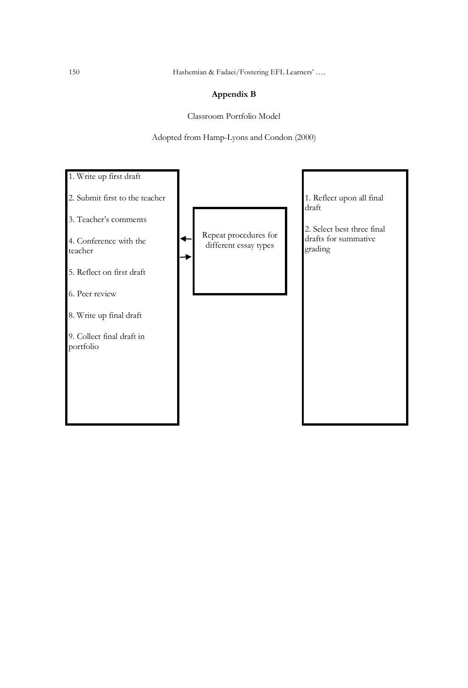150 Hashemian & Fadaei/Fostering EFL Learners' ….

### **Appendix B**

Classroom Portfolio Model

Adopted from Hamp-Lyons and Condon (2000)